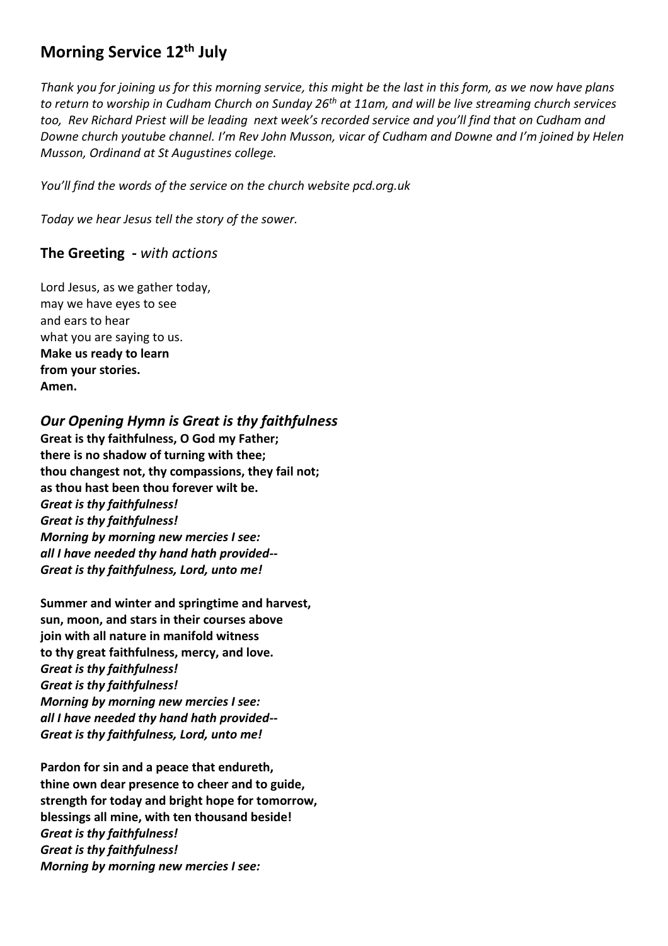# **Morning Service 12th July**

*Thank you for joining us for this morning service, this might be the last in this form, as we now have plans to return to worship in Cudham Church on Sunday 26th at 11am, and will be live streaming church services too, Rev Richard Priest will be leading next week's recorded service and you'll find that on Cudham and Downe church youtube channel. I'm Rev John Musson, vicar of Cudham and Downe and I'm joined by Helen Musson, Ordinand at St Augustines college.* 

*You'll find the words of the service on the church website pcd.org.uk* 

*Today we hear Jesus tell the story of the sower.*

### **The Greeting -** *with actions*

Lord Jesus, as we gather today, may we have eyes to see and ears to hear what you are saying to us. **Make us ready to learn from your stories. Amen.**

## *Our Opening Hymn is Great is thy faithfulness*

**Great is thy faithfulness, O God my Father; there is no shadow of turning with thee; thou changest not, thy compassions, they fail not; as thou hast been thou forever wilt be.** *Great is thy faithfulness! Great is thy faithfulness! Morning by morning new mercies I see: all I have needed thy hand hath provided-- Great is thy faithfulness, Lord, unto me!*

**Summer and winter and springtime and harvest, sun, moon, and stars in their courses above join with all nature in manifold witness to thy great faithfulness, mercy, and love.**  *Great is thy faithfulness! Great is thy faithfulness! Morning by morning new mercies I see: all I have needed thy hand hath provided-- Great is thy faithfulness, Lord, unto me!*

**Pardon for sin and a peace that endureth, thine own dear presence to cheer and to guide, strength for today and bright hope for tomorrow, blessings all mine, with ten thousand beside!** *Great is thy faithfulness! Great is thy faithfulness! Morning by morning new mercies I see:*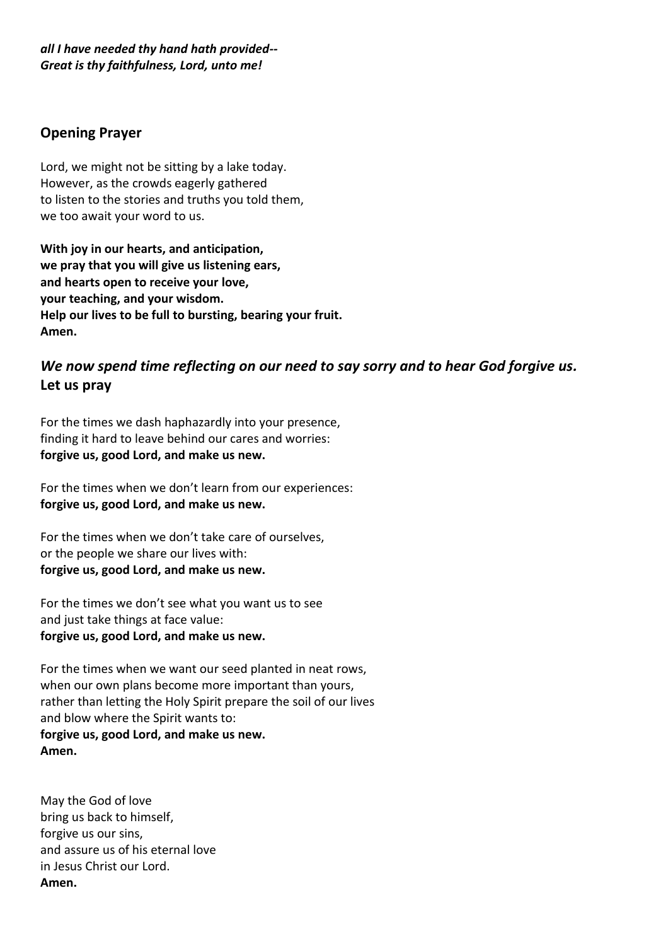*all I have needed thy hand hath provided-- Great is thy faithfulness, Lord, unto me!*

## **Opening Prayer**

Lord, we might not be sitting by a lake today. However, as the crowds eagerly gathered to listen to the stories and truths you told them, we too await your word to us.

**With joy in our hearts, and anticipation, we pray that you will give us listening ears, and hearts open to receive your love, your teaching, and your wisdom. Help our lives to be full to bursting, bearing your fruit. Amen.**

# *We now spend time reflecting on our need to say sorry and to hear God forgive us.* **Let us pray**

For the times we dash haphazardly into your presence, finding it hard to leave behind our cares and worries: **forgive us, good Lord, and make us new.**

For the times when we don't learn from our experiences: **forgive us, good Lord, and make us new.**

For the times when we don't take care of ourselves, or the people we share our lives with: **forgive us, good Lord, and make us new.**

For the times we don't see what you want us to see and just take things at face value: **forgive us, good Lord, and make us new.**

For the times when we want our seed planted in neat rows, when our own plans become more important than yours, rather than letting the Holy Spirit prepare the soil of our lives and blow where the Spirit wants to: **forgive us, good Lord, and make us new. Amen.**

May the God of love bring us back to himself, forgive us our sins, and assure us of his eternal love in Jesus Christ our Lord. **Amen.**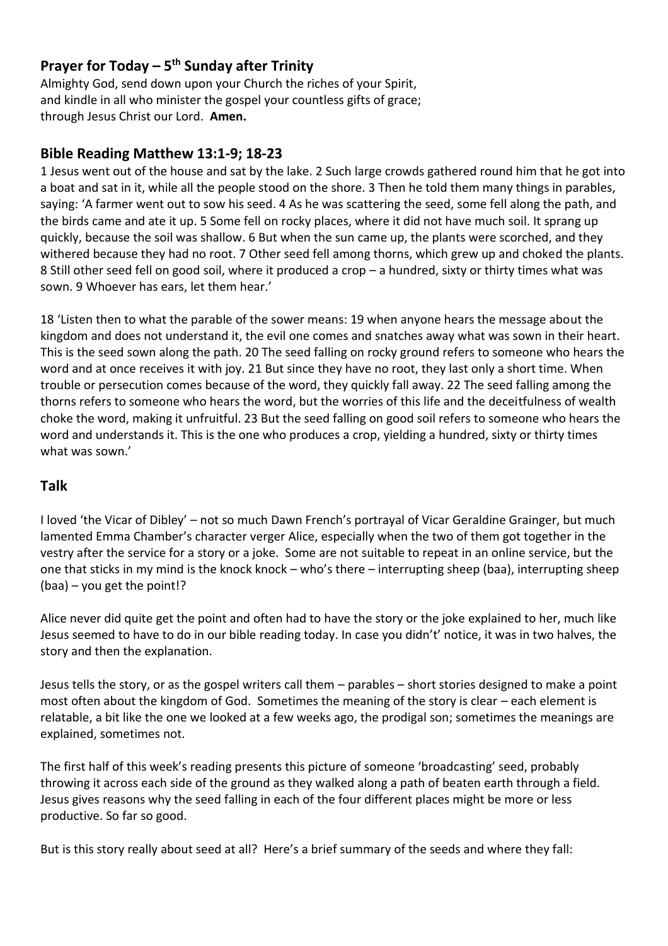# **Prayer for Today – 5 th Sunday after Trinity**

Almighty God, send down upon your Church the riches of your Spirit, and kindle in all who minister the gospel your countless gifts of grace; through Jesus Christ our Lord. **Amen.**

## **Bible Reading Matthew 13:1-9; 18-23**

1 Jesus went out of the house and sat by the lake. 2 Such large crowds gathered round him that he got into a boat and sat in it, while all the people stood on the shore. 3 Then he told them many things in parables, saying: 'A farmer went out to sow his seed. 4 As he was scattering the seed, some fell along the path, and the birds came and ate it up. 5 Some fell on rocky places, where it did not have much soil. It sprang up quickly, because the soil was shallow. 6 But when the sun came up, the plants were scorched, and they withered because they had no root. 7 Other seed fell among thorns, which grew up and choked the plants. 8 Still other seed fell on good soil, where it produced a crop – a hundred, sixty or thirty times what was sown. 9 Whoever has ears, let them hear.'

18 'Listen then to what the parable of the sower means: 19 when anyone hears the message about the kingdom and does not understand it, the evil one comes and snatches away what was sown in their heart. This is the seed sown along the path. 20 The seed falling on rocky ground refers to someone who hears the word and at once receives it with joy. 21 But since they have no root, they last only a short time. When trouble or persecution comes because of the word, they quickly fall away. 22 The seed falling among the thorns refers to someone who hears the word, but the worries of this life and the deceitfulness of wealth choke the word, making it unfruitful. 23 But the seed falling on good soil refers to someone who hears the word and understands it. This is the one who produces a crop, yielding a hundred, sixty or thirty times what was sown.'

### **Talk**

I loved 'the Vicar of Dibley' – not so much Dawn French's portrayal of Vicar Geraldine Grainger, but much lamented Emma Chamber's character verger Alice, especially when the two of them got together in the vestry after the service for a story or a joke. Some are not suitable to repeat in an online service, but the one that sticks in my mind is the knock knock – who's there – interrupting sheep (baa), interrupting sheep (baa) – you get the point!?

Alice never did quite get the point and often had to have the story or the joke explained to her, much like Jesus seemed to have to do in our bible reading today. In case you didn't' notice, it was in two halves, the story and then the explanation.

Jesus tells the story, or as the gospel writers call them – parables – short stories designed to make a point most often about the kingdom of God. Sometimes the meaning of the story is clear – each element is relatable, a bit like the one we looked at a few weeks ago, the prodigal son; sometimes the meanings are explained, sometimes not.

The first half of this week's reading presents this picture of someone 'broadcasting' seed, probably throwing it across each side of the ground as they walked along a path of beaten earth through a field. Jesus gives reasons why the seed falling in each of the four different places might be more or less productive. So far so good.

But is this story really about seed at all? Here's a brief summary of the seeds and where they fall: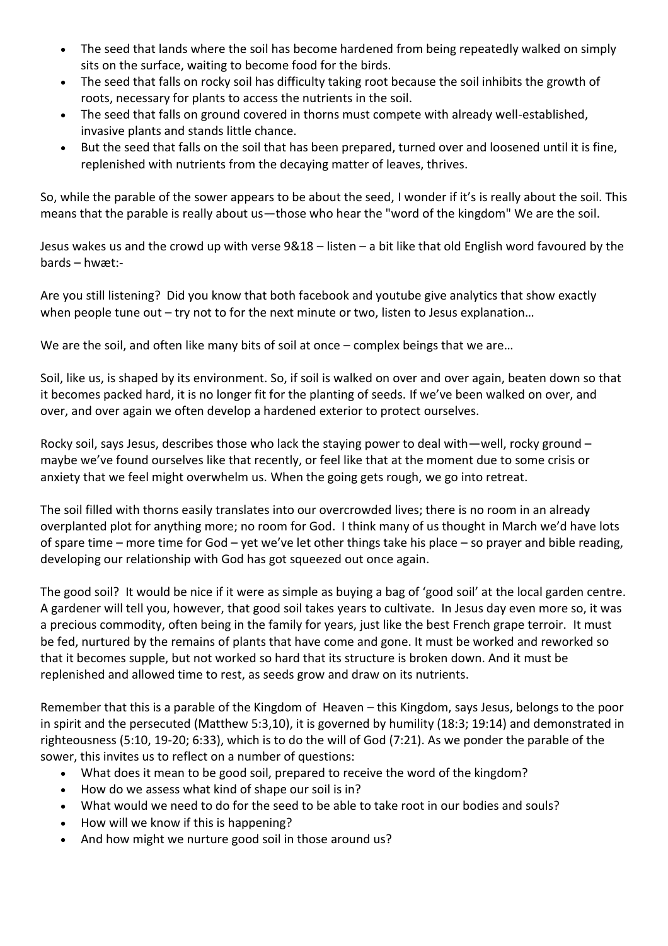- The seed that lands where the soil has become hardened from being repeatedly walked on simply sits on the surface, waiting to become food for the birds.
- The seed that falls on rocky soil has difficulty taking root because the soil inhibits the growth of roots, necessary for plants to access the nutrients in the soil.
- The seed that falls on ground covered in thorns must compete with already well-established, invasive plants and stands little chance.
- But the seed that falls on the soil that has been prepared, turned over and loosened until it is fine, replenished with nutrients from the decaying matter of leaves, thrives.

So, while the parable of the sower appears to be about the seed, I wonder if it's is really about the soil. This means that the parable is really about us—those who hear the "word of the kingdom" We are the soil.

Jesus wakes us and the crowd up with verse 9&18 – listen – a bit like that old English word favoured by the bards – hwæt:-

Are you still listening? Did you know that both facebook and youtube give analytics that show exactly when people tune out – try not to for the next minute or two, listen to Jesus explanation...

We are the soil, and often like many bits of soil at once – complex beings that we are...

Soil, like us, is shaped by its environment. So, if soil is walked on over and over again, beaten down so that it becomes packed hard, it is no longer fit for the planting of seeds. If we've been walked on over, and over, and over again we often develop a hardened exterior to protect ourselves.

Rocky soil, says Jesus, describes those who lack the staying power to deal with—well, rocky ground – maybe we've found ourselves like that recently, or feel like that at the moment due to some crisis or anxiety that we feel might overwhelm us. When the going gets rough, we go into retreat.

The soil filled with thorns easily translates into our overcrowded lives; there is no room in an already overplanted plot for anything more; no room for God. I think many of us thought in March we'd have lots of spare time – more time for God – yet we've let other things take his place – so prayer and bible reading, developing our relationship with God has got squeezed out once again.

The good soil? It would be nice if it were as simple as buying a bag of 'good soil' at the local garden centre. A gardener will tell you, however, that good soil takes years to cultivate. In Jesus day even more so, it was a precious commodity, often being in the family for years, just like the best French grape terroir. It must be fed, nurtured by the remains of plants that have come and gone. It must be worked and reworked so that it becomes supple, but not worked so hard that its structure is broken down. And it must be replenished and allowed time to rest, as seeds grow and draw on its nutrients.

Remember that this is a parable of the Kingdom of Heaven – this Kingdom, says Jesus, belongs to the poor in spirit and the persecuted (Matthew 5:3,10), it is governed by humility (18:3; 19:14) and demonstrated in righteousness (5:10, 19-20; 6:33), which is to do the will of God (7:21). As we ponder the parable of the sower, this invites us to reflect on a number of questions:

- What does it mean to be good soil, prepared to receive the word of the kingdom?
- How do we assess what kind of shape our soil is in?
- What would we need to do for the seed to be able to take root in our bodies and souls?
- How will we know if this is happening?
- And how might we nurture good soil in those around us?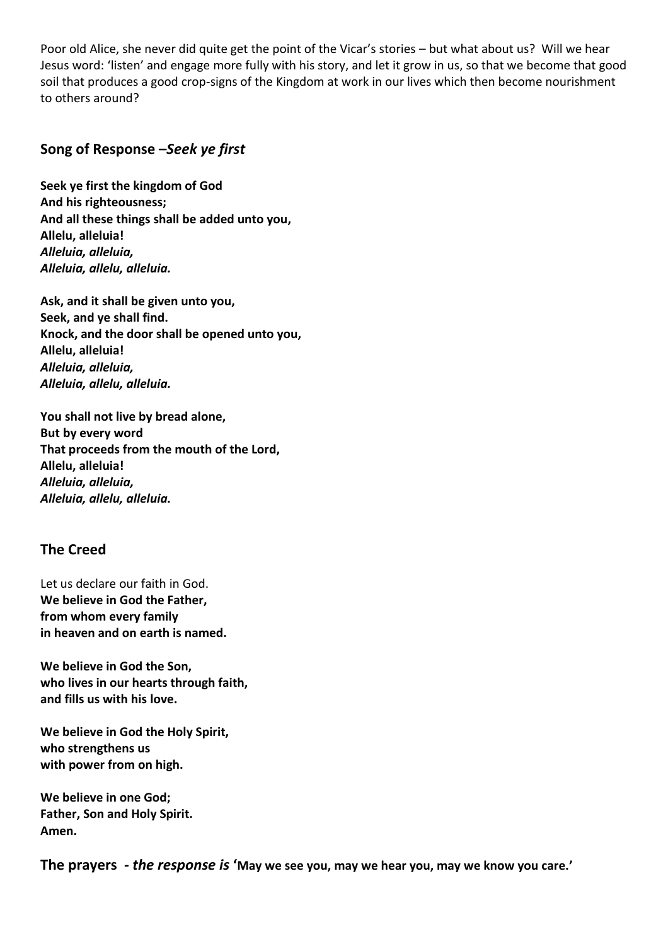Poor old Alice, she never did quite get the point of the Vicar's stories – but what about us? Will we hear Jesus word: 'listen' and engage more fully with his story, and let it grow in us, so that we become that good soil that produces a good crop-signs of the Kingdom at work in our lives which then become nourishment to others around?

#### **Song of Response –***Seek ye first*

**Seek ye first the kingdom of God And his righteousness; And all these things shall be added unto you, Allelu, alleluia!** *Alleluia, alleluia, Alleluia, allelu, alleluia.*

**Ask, and it shall be given unto you, Seek, and ye shall find. Knock, and the door shall be opened unto you, Allelu, alleluia!** *Alleluia, alleluia, Alleluia, allelu, alleluia.*

**You shall not live by bread alone, But by every word That proceeds from the mouth of the Lord, Allelu, alleluia!** *Alleluia, alleluia, Alleluia, allelu, alleluia.*

### **The Creed**

Let us declare our faith in God. **We believe in God the Father, from whom every family in heaven and on earth is named.**

**We believe in God the Son, who lives in our hearts through faith, and fills us with his love.**

**We believe in God the Holy Spirit, who strengthens us with power from on high.**

**We believe in one God; Father, Son and Holy Spirit. Amen.**

**The prayers** *- the response is* **'May we see you, may we hear you, may we know you care.'**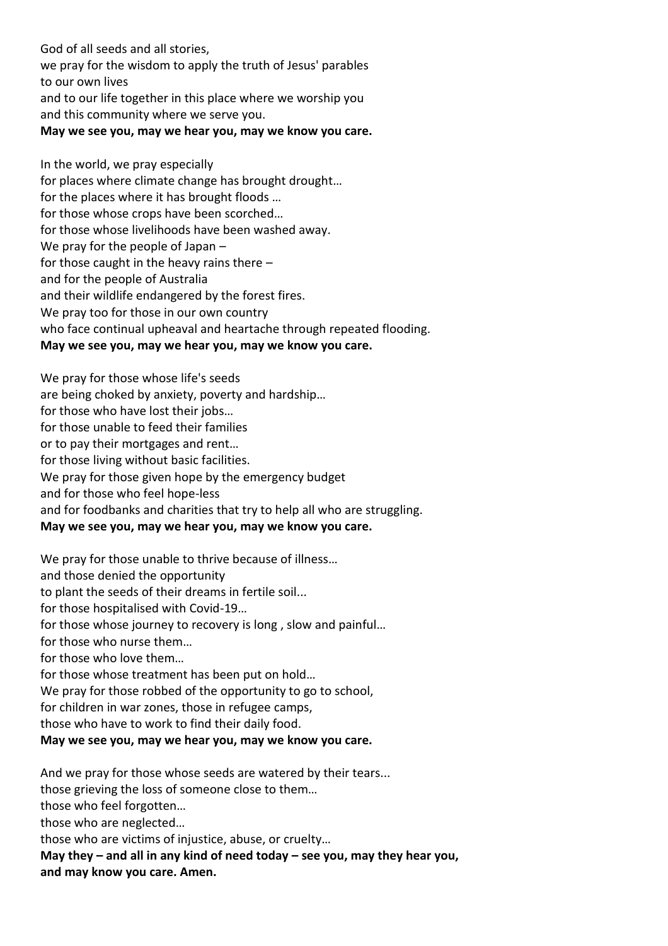God of all seeds and all stories, we pray for the wisdom to apply the truth of Jesus' parables to our own lives and to our life together in this place where we worship you and this community where we serve you.

#### **May we see you, may we hear you, may we know you care.**

In the world, we pray especially for places where climate change has brought drought... for the places where it has brought floods … for those whose crops have been scorched… for those whose livelihoods have been washed away. We pray for the people of Japan – for those caught in the heavy rains there – and for the people of Australia and their wildlife endangered by the forest fires. We pray too for those in our own country who face continual upheaval and heartache through repeated flooding.

#### **May we see you, may we hear you, may we know you care.**

We pray for those whose life's seeds are being choked by anxiety, poverty and hardship… for those who have lost their jobs… for those unable to feed their families or to pay their mortgages and rent… for those living without basic facilities. We pray for those given hope by the emergency budget and for those who feel hope-less and for foodbanks and charities that try to help all who are struggling. **May we see you, may we hear you, may we know you care.**

We pray for those unable to thrive because of illness…

and those denied the opportunity

to plant the seeds of their dreams in fertile soil...

for those hospitalised with Covid-19…

for those whose journey to recovery is long , slow and painful…

for those who nurse them…

for those who love them…

for those whose treatment has been put on hold…

We pray for those robbed of the opportunity to go to school,

for children in war zones, those in refugee camps,

those who have to work to find their daily food.

#### **May we see you, may we hear you, may we know you care.**

And we pray for those whose seeds are watered by their tears...

those grieving the loss of someone close to them…

those who feel forgotten…

those who are neglected…

those who are victims of injustice, abuse, or cruelty…

**May they – and all in any kind of need today – see you, may they hear you, and may know you care. Amen.**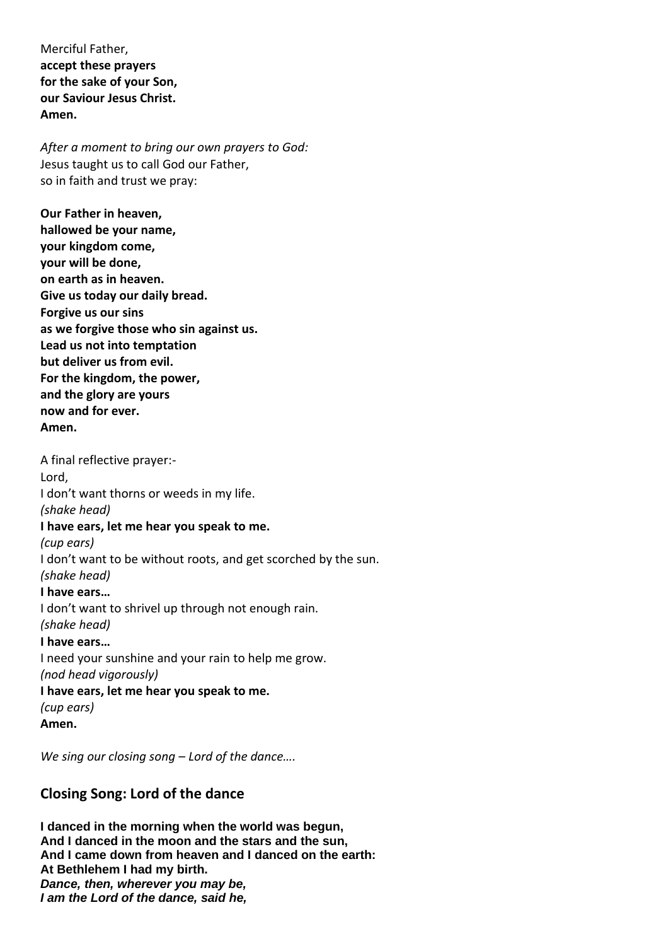Merciful Father, **accept these prayers for the sake of your Son, our Saviour Jesus Christ. Amen.**

*After a moment to bring our own prayers to God:* Jesus taught us to call God our Father, so in faith and trust we pray:

**Our Father in heaven, hallowed be your name, your kingdom come, your will be done, on earth as in heaven. Give us today our daily bread. Forgive us our sins as we forgive those who sin against us. Lead us not into temptation but deliver us from evil. For the kingdom, the power, and the glory are yours now and for ever. Amen.**

A final reflective prayer:- Lord, I don't want thorns or weeds in my life. *(shake head)* **I have ears, let me hear you speak to me.** *(cup ears)* I don't want to be without roots, and get scorched by the sun. *(shake head)* **I have ears…** I don't want to shrivel up through not enough rain. *(shake head)* **I have ears…** I need your sunshine and your rain to help me grow. *(nod head vigorously)* **I have ears, let me hear you speak to me.** *(cup ears)* **Amen.**

*We sing our closing song – Lord of the dance….*

## **Closing Song: Lord of the dance**

**I danced in the morning when the world was begun, And I danced in the moon and the stars and the sun, And I came down from heaven and I danced on the earth: At Bethlehem I had my birth.** *Dance, then, wherever you may be, I am the Lord of the dance, said he,*